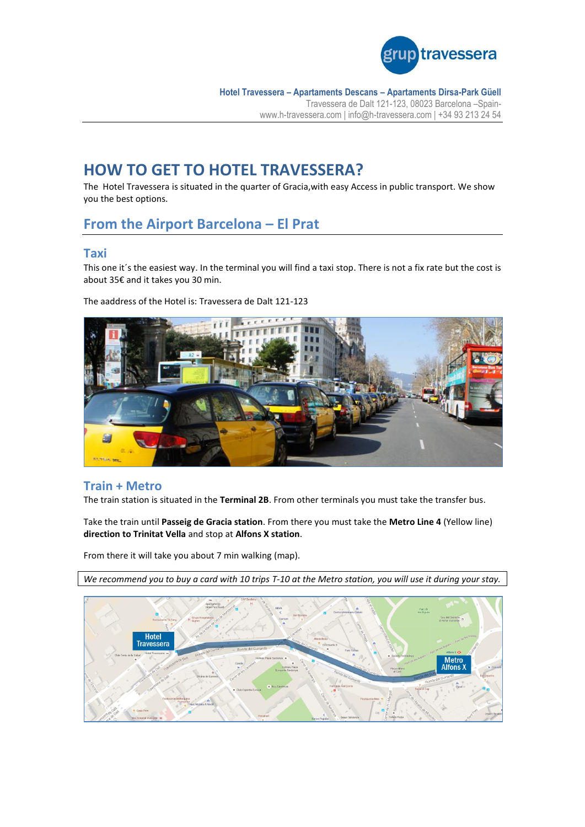

**Hotel Travessera – Apartaments Descans – Apartaments Dirsa-Park Güell** Travessera de Dalt 121-123, 08023 Barcelona –Spainwww.h-travessera.com | info@h-travessera.com | +34 93 213 24 54

# **HOW TO GET TO HOTEL TRAVESSERA?**

The Hotel Travessera is situated in the quarter of Gracia,with easy Access in public transport. We show you the best options.

## **From the Airport Barcelona – El Prat**

#### **Taxi**

This one it's the easiest way. In the terminal you will find a taxi stop. There is not a fix rate but the cost is about 35€ and it takes you 30 min.

#### The aaddress of the Hotel is: Travessera de Dalt 121-123



#### **Train + Metro**

The train station is situated in the **Terminal 2B**. From other terminals you must take the transfer bus.

Take the train until **Passeig de Gracia station**. From there you must take the **Metro Line 4** (Yellow line) **direction to Trinitat Vella** and stop at **Alfons X station**.

From there it will take you about 7 min walking (map).

*We recommend you to buy a card with 10 trips T-10 at the Metro station, you will use it during your stay.*

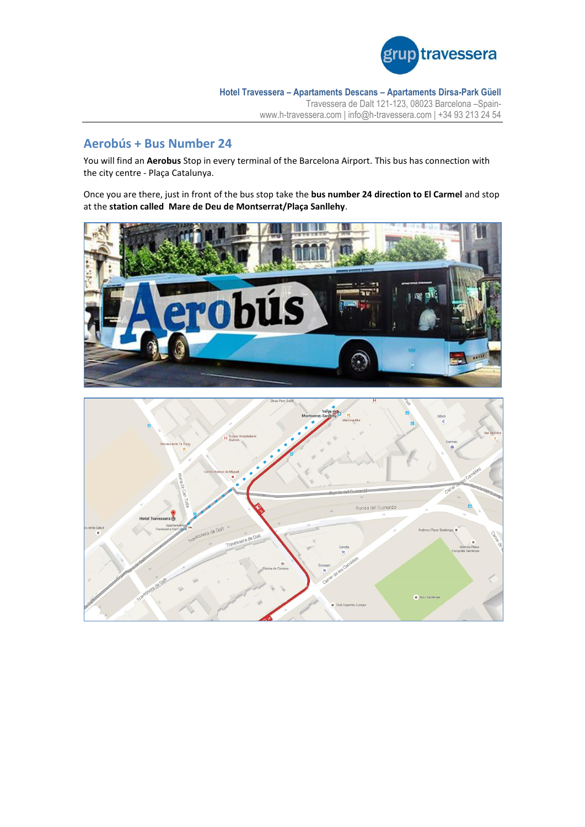![](_page_1_Picture_0.jpeg)

**Hotel Travessera – Apartaments Descans – Apartaments Dirsa-Park Güell** Travessera de Dalt 121-123, 08023 Barcelona –Spainwww.h-travessera.com | info@h-travessera.com | +34 93 213 24 54

### **Aerobús + Bus Number 24**

You will find an **Aerobus** Stop in every terminal of the Barcelona Airport. This bus has connection with the city centre - Plaça Catalunya.

Once you are there, just in front of the bus stop take the **bus number 24 direction to El Carmel** and stop at the **station called Mare de Deu de Montserrat/Plaça Sanllehy**.

![](_page_1_Picture_5.jpeg)

![](_page_1_Figure_6.jpeg)